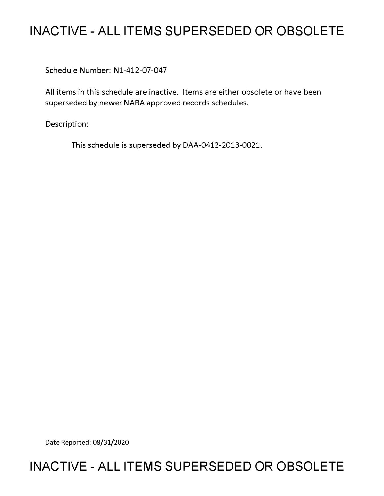# **INACTIVE - ALL ITEMS SUPERSEDED OR OBSOLETE**

Schedule Number: Nl-412-07-047

All items in this schedule are inactive. Items are either obsolete or have been superseded by newer NARA approved records schedules.

Description:

This schedule is superseded by DAA-0412-2013-0021.

Date Reported: 08/31/2020

# **INACTIVE - ALL ITEMS SUPERSEDED OR OBSOLETE**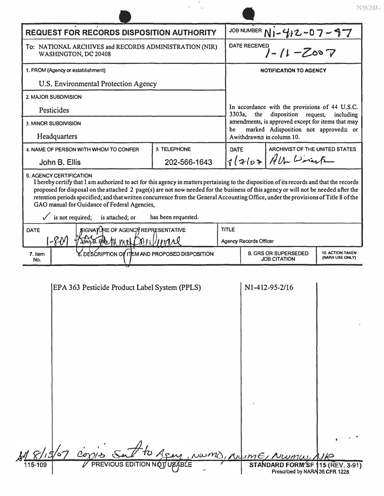|                                                                                                                                                                                                                                                                                                                                                   |                                                                                                                                                              |                                               |                                                                         | NWML                                       |  |
|---------------------------------------------------------------------------------------------------------------------------------------------------------------------------------------------------------------------------------------------------------------------------------------------------------------------------------------------------|--------------------------------------------------------------------------------------------------------------------------------------------------------------|-----------------------------------------------|-------------------------------------------------------------------------|--------------------------------------------|--|
| <b>REQUEST FOR RECORDS DISPOSITION AUTHORITY</b>                                                                                                                                                                                                                                                                                                  |                                                                                                                                                              | JOB NUMBER NI-412-07-47                       |                                                                         |                                            |  |
| To: NATIONAL ARCHIVES and RECORDS ADMINISTRATION (NIR)<br>WASHINGTON, DC 20408                                                                                                                                                                                                                                                                    |                                                                                                                                                              | <b>DATE RECEIVED</b><br>$7 - 11 - 2007$       |                                                                         |                                            |  |
| 1. FROM (Agency or establishment)                                                                                                                                                                                                                                                                                                                 |                                                                                                                                                              | <b>NOTIFICATION TO AGENCY</b>                 |                                                                         |                                            |  |
| U.S. Environmental Protection Agency                                                                                                                                                                                                                                                                                                              |                                                                                                                                                              |                                               |                                                                         |                                            |  |
| 2. MAJOR SUBDIVISION                                                                                                                                                                                                                                                                                                                              |                                                                                                                                                              |                                               |                                                                         |                                            |  |
| Pesticides                                                                                                                                                                                                                                                                                                                                        | In accordance with the provisions of 44 U.S.C.<br>3303a,<br>disposition<br>the<br>request,<br>including<br>amendments, is approved except for items that may |                                               |                                                                         |                                            |  |
| <b>3. MINOR SUBDIVISION</b>                                                                                                                                                                                                                                                                                                                       |                                                                                                                                                              |                                               |                                                                         |                                            |  |
| Headquarters                                                                                                                                                                                                                                                                                                                                      |                                                                                                                                                              |                                               | marked Adisposition not approved gor<br>be<br>Awithdrawn≊ in column 10. |                                            |  |
| 4. NAME OF PERSON WITH WHOM TO CONFER                                                                                                                                                                                                                                                                                                             | 5. TELEPHONE                                                                                                                                                 | DATE                                          | ARCHIVIST OF THE UNITED STATES                                          |                                            |  |
| John B. Ellis                                                                                                                                                                                                                                                                                                                                     | 202-566-1643                                                                                                                                                 |                                               | $12107$ / the birack                                                    |                                            |  |
| retention periods specified; and that written concurrence from the General Accounting Office, under the provisions of Title 8 of the<br>GAO manual for Guidance of Federal Agencies,<br>$\sqrt{\phantom{a}}$ is not required;<br>is attached; or<br><b>SIGNATURE OF AGENCY REPRESENTATIVE</b><br><b>DATE</b><br>$1 - 8 - 0$<br>$JohnB.$ $FMS$ $M$ | has been requested.<br>11M/M                                                                                                                                 | <b>TITLE</b><br><b>Agency Records Officer</b> |                                                                         |                                            |  |
| 8. DESCRIPTION OF ITEM AND PROPOSED DISPOSITION<br>7. Item<br>No.                                                                                                                                                                                                                                                                                 |                                                                                                                                                              | 9. GRS OR SUPERSEDED<br><b>JOB CITATION</b>   |                                                                         | <b>10. ACTION TAKEN</b><br>(NARA USE ONLY) |  |
| EPA 363 Pesticide Product Label System (PPLS)                                                                                                                                                                                                                                                                                                     |                                                                                                                                                              |                                               | N1-412-95-2/16                                                          |                                            |  |

|         | CONTES Sat to Agen, NWMD, NUME, NUMU, NIR                                                         |  |
|---------|---------------------------------------------------------------------------------------------------|--|
| 115-109 | PREVIOUS EDITION NOT USABLE<br>STANDARD FORM'SF 115 (REV. 3-91)<br>Prescribed by NARA 36 CFR 1228 |  |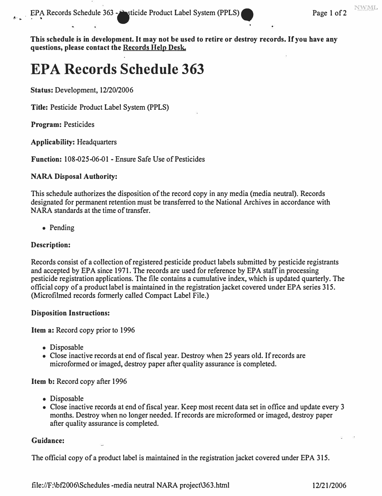**This schedule is in development. It may not be used to retire or destroy records. If you have any questions, please contact the Records Help Desk.** 

# **EPA Records Schedule 363**

**Status: Development, 12/20/2006** 

**Title: Pesticide Product Label System (PPLS)** 

**Program: Pesticides** 

**Applicability: Headquarters** 

**Function: 108-025-06-01 - Ensure Safe Use of Pesticides** 

#### **NARA Disposal Authority:**

**This schedule authorizes the disposition of the record copy in any media (media neutral). Records designated for permanent retention must be transferred to the National Archives in accordance with NARA standards at the time of transfer.** 

**• Pending** 

### **Description:**

**Records consist of a collection of registered pesticide product labels submitted by pesticide registrants**  and accepted by EPA since 1971. The records are used for reference by EPA staff in processing **pesticide registration applications. The file contains a cumulative index, which is updated quarterly. The official copy of a product label is maintained in the registration jacket covered under EPA series 315. (Microfilmed records formerly called Compact Label File.)** 

#### **Disposition Instructions:**

**Item a: Record copy prior to 1996** 

- **Disposable**
- **Close inactive records at end of fiscal year. Destroy when 25 years old.** *If***records are microformed or imaged, destroy paper after quality assurance is completed.**

**Item b: Record copy after 1996** 

- **Disposable**
- **Close inactive records at end of fiscal year. Keep most recent data set in office and update every 3 months. Destroy when no longer needed.** *If***records are micro formed or imaged, destroy paper after quality assurance is completed.**

#### **Guidance:**

**The official copy of a product label is maintained in the registration jacket covered under EPA 315.** 

**<file://F:\bf2006\Schedules> -media neutral NARA project\363.html 12/21/2006**